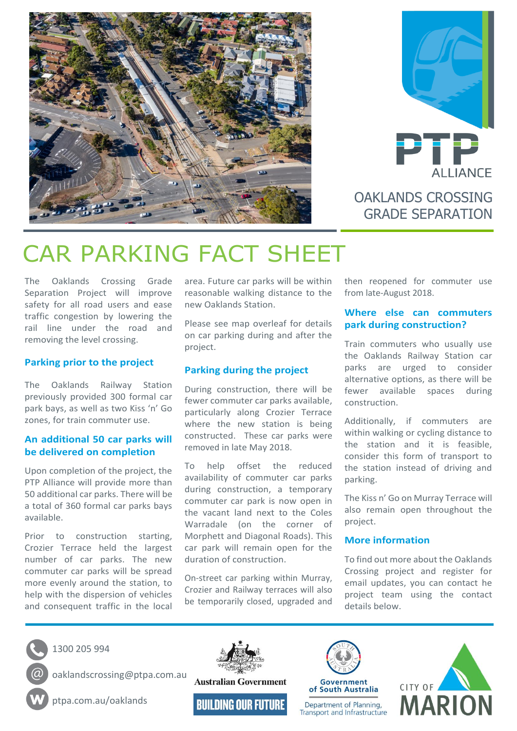



# OAKLANDS CROSSING GRADE SEPARATION

# CAR PARKING FACT SHEET

The Oaklands Crossing Grade Separation Project will improve safety for all road users and ease traffic congestion by lowering the rail line under the road and removing the level crossing.

#### **Parking prior to the project**

The Oaklands Railway Station previously provided 300 formal car park bays, as well as two Kiss 'n' Go zones, for train commuter use.

#### **An additional 50 car parks will be delivered on completion**

Upon completion of the project, the PTP Alliance will provide more than 50 additional car parks. There will be a total of 360 formal car parks bays available.

Prior to construction starting, Crozier Terrace held the largest number of car parks. The new commuter car parks will be spread more evenly around the station, to help with the dispersion of vehicles and consequent traffic in the local

area. Future car parks will be within reasonable walking distance to the new Oaklands Station.

Please see map overleaf for details on car parking during and after the project.

#### **Parking during the project**

During construction, there will be fewer commuter car parks available, particularly along Crozier Terrace where the new station is being constructed. These car parks were removed in late May 2018.

To help offset the reduced availability of commuter car parks during construction, a temporary commuter car park is now open in the vacant land next to the Coles Warradale (on the corner of Morphett and Diagonal Roads). This car park will remain open for the duration of construction.

On-street car parking within Murray, Crozier and Railway terraces will also be temporarily closed, upgraded and

then reopened for commuter use from late-August 2018.

## **Where else can commuters park during construction?**

Train commuters who usually use the Oaklands Railway Station car parks are urged to consider alternative options, as there will be fewer available spaces during construction.

Additionally, if commuters are within walking or cycling distance to the station and it is feasible, consider this form of transport to the station instead of driving and parking.

The Kiss n' Go on Murray Terrace will also remain open throughout the project.

#### **More information**

To find out more about the Oaklands Crossing project and register for email updates, you can contact he project team using the contact details below.

1300 205 994

oaklandscrossing@ptpa.com.au



ptpa.com.au/oaklands



**Australian Government**